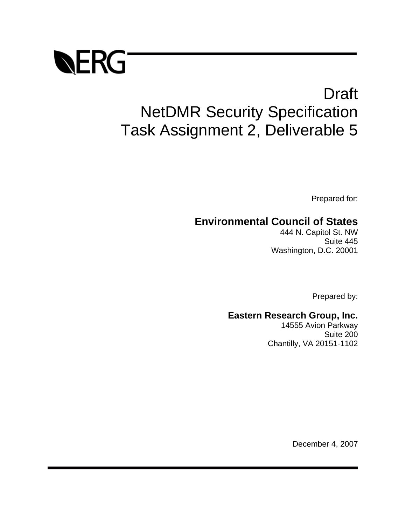

# Draft NetDMR Security Specification Task Assignment 2, Deliverable 5

Prepared for:

## **Environmental Council of States**

444 N. Capitol St. NW Suite 445 Washington, D.C. 20001

Prepared by:

## **Eastern Research Group, Inc.**

14555 Avion Parkway Suite 200 Chantilly, VA 20151-1102

December 4, 2007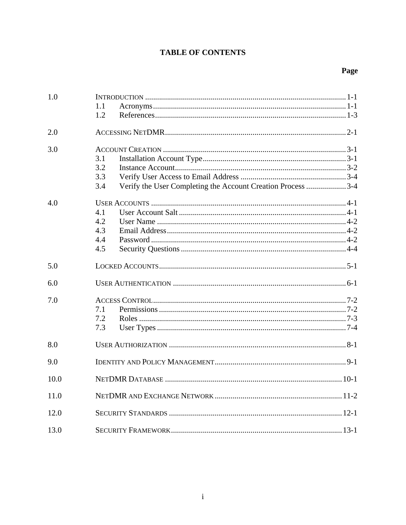## **TABLE OF CONTENTS**

## Page

| 1.0  | 1.1<br>1.2                                                                              |  |
|------|-----------------------------------------------------------------------------------------|--|
| 2.0  |                                                                                         |  |
| 3.0  | 3.1<br>3.2<br>3.3<br>Verify the User Completing the Account Creation Process 3-4<br>3.4 |  |
| 4.0  | 4.1<br>4.2<br>4.3<br>4.4<br>4.5                                                         |  |
| 5.0  |                                                                                         |  |
| 6.0  |                                                                                         |  |
| 7.0  | 7.1<br>7.2<br>7.3                                                                       |  |
| 8.0  |                                                                                         |  |
| 9.0  |                                                                                         |  |
| 10.0 |                                                                                         |  |
| 11.0 |                                                                                         |  |
| 12.0 |                                                                                         |  |
| 13.0 |                                                                                         |  |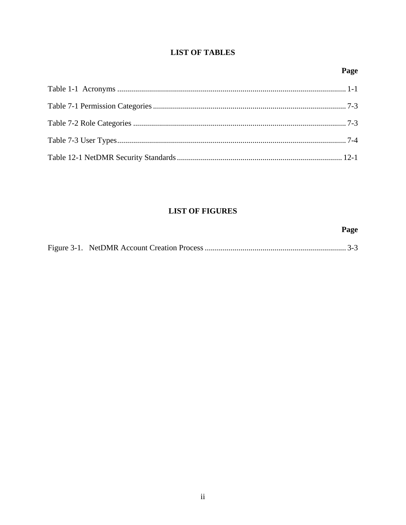## **LIST OF TABLES**

## Page

## **LIST OF FIGURES**

|  | Page |
|--|------|
|  |      |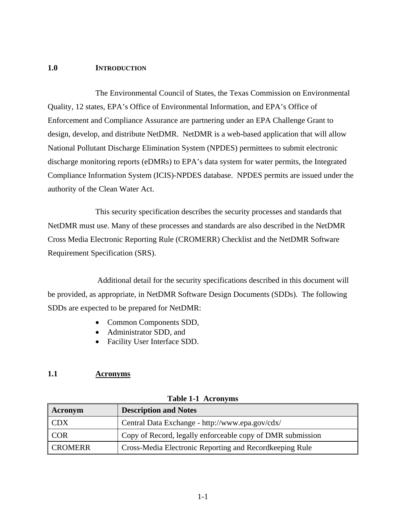#### **1.0 INTRODUCTION**

 The Environmental Council of States, the Texas Commission on Environmental Quality, 12 states, EPA's Office of Environmental Information, and EPA's Office of Enforcement and Compliance Assurance are partnering under an EPA Challenge Grant to design, develop, and distribute NetDMR. NetDMR is a web-based application that will allow National Pollutant Discharge Elimination System (NPDES) permittees to submit electronic discharge monitoring reports (eDMRs) to EPA's data system for water permits, the Integrated Compliance Information System (ICIS)-NPDES database. NPDES permits are issued under the authority of the Clean Water Act.

 This security specification describes the security processes and standards that NetDMR must use. Many of these processes and standards are also described in the NetDMR Cross Media Electronic Reporting Rule (CROMERR) Checklist and the NetDMR Software Requirement Specification (SRS).

 Additional detail for the security specifications described in this document will be provided, as appropriate, in NetDMR Software Design Documents (SDDs). The following SDDs are expected to be prepared for NetDMR:

- Common Components SDD,
- Administrator SDD, and
- Facility User Interface SDD.

#### **1.1 Acronyms**

| Acronym        | <b>Description and Notes</b>                               |  |
|----------------|------------------------------------------------------------|--|
| <b>CDX</b>     | Central Data Exchange - http://www.epa.gov/cdx/            |  |
| <b>COR</b>     | Copy of Record, legally enforceable copy of DMR submission |  |
| <b>CROMERR</b> | Cross-Media Electronic Reporting and Recordkeeping Rule    |  |

**Table 1-1 Acronyms**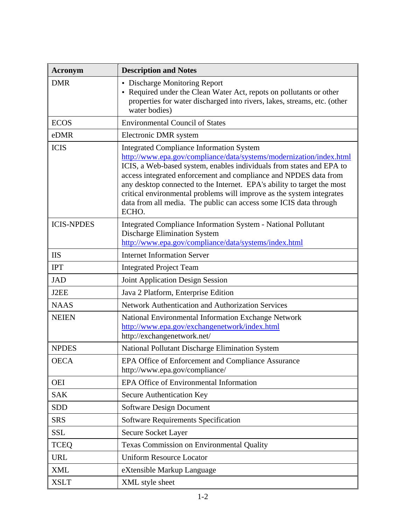| <b>Acronym</b>    | <b>Description and Notes</b>                                                                                                                                                                                                                                                                                                                                                                                                                                                                         |  |  |
|-------------------|------------------------------------------------------------------------------------------------------------------------------------------------------------------------------------------------------------------------------------------------------------------------------------------------------------------------------------------------------------------------------------------------------------------------------------------------------------------------------------------------------|--|--|
| <b>DMR</b>        | • Discharge Monitoring Report<br>• Required under the Clean Water Act, repots on pollutants or other<br>properties for water discharged into rivers, lakes, streams, etc. (other<br>water bodies)                                                                                                                                                                                                                                                                                                    |  |  |
| <b>ECOS</b>       | <b>Environmental Council of States</b>                                                                                                                                                                                                                                                                                                                                                                                                                                                               |  |  |
| eDMR              | Electronic DMR system                                                                                                                                                                                                                                                                                                                                                                                                                                                                                |  |  |
| <b>ICIS</b>       | <b>Integrated Compliance Information System</b><br>http://www.epa.gov/compliance/data/systems/modernization/index.html<br>ICIS, a Web-based system, enables individuals from states and EPA to<br>access integrated enforcement and compliance and NPDES data from<br>any desktop connected to the Internet. EPA's ability to target the most<br>critical environmental problems will improve as the system integrates<br>data from all media. The public can access some ICIS data through<br>ECHO. |  |  |
| <b>ICIS-NPDES</b> | Integrated Compliance Information System - National Pollutant<br><b>Discharge Elimination System</b><br>http://www.epa.gov/compliance/data/systems/index.html                                                                                                                                                                                                                                                                                                                                        |  |  |
| <b>IIS</b>        | <b>Internet Information Server</b>                                                                                                                                                                                                                                                                                                                                                                                                                                                                   |  |  |
| <b>IPT</b>        | <b>Integrated Project Team</b>                                                                                                                                                                                                                                                                                                                                                                                                                                                                       |  |  |
| <b>JAD</b>        | <b>Joint Application Design Session</b>                                                                                                                                                                                                                                                                                                                                                                                                                                                              |  |  |
| J2EE              | Java 2 Platform, Enterprise Edition                                                                                                                                                                                                                                                                                                                                                                                                                                                                  |  |  |
| <b>NAAS</b>       | Network Authentication and Authorization Services                                                                                                                                                                                                                                                                                                                                                                                                                                                    |  |  |
| <b>NEIEN</b>      | National Environmental Information Exchange Network<br>http://www.epa.gov/exchangenetwork/index.html<br>http://exchangenetwork.net/                                                                                                                                                                                                                                                                                                                                                                  |  |  |
| <b>NPDES</b>      | National Pollutant Discharge Elimination System                                                                                                                                                                                                                                                                                                                                                                                                                                                      |  |  |
| <b>OECA</b>       | EPA Office of Enforcement and Compliance Assurance<br>http://www.epa.gov/compliance/                                                                                                                                                                                                                                                                                                                                                                                                                 |  |  |
| <b>OEI</b>        | EPA Office of Environmental Information                                                                                                                                                                                                                                                                                                                                                                                                                                                              |  |  |
| <b>SAK</b>        | Secure Authentication Key                                                                                                                                                                                                                                                                                                                                                                                                                                                                            |  |  |
| <b>SDD</b>        | <b>Software Design Document</b>                                                                                                                                                                                                                                                                                                                                                                                                                                                                      |  |  |
| <b>SRS</b>        | <b>Software Requirements Specification</b>                                                                                                                                                                                                                                                                                                                                                                                                                                                           |  |  |
| <b>SSL</b>        | Secure Socket Layer                                                                                                                                                                                                                                                                                                                                                                                                                                                                                  |  |  |
| <b>TCEQ</b>       | Texas Commission on Environmental Quality                                                                                                                                                                                                                                                                                                                                                                                                                                                            |  |  |
| <b>URL</b>        | <b>Uniform Resource Locator</b>                                                                                                                                                                                                                                                                                                                                                                                                                                                                      |  |  |
| <b>XML</b>        | eXtensible Markup Language                                                                                                                                                                                                                                                                                                                                                                                                                                                                           |  |  |
| <b>XSLT</b>       | XML style sheet                                                                                                                                                                                                                                                                                                                                                                                                                                                                                      |  |  |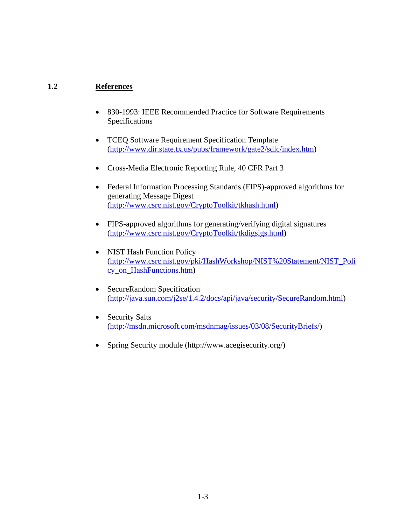#### **1.2 References**

- 830-1993: IEEE Recommended Practice for Software Requirements Specifications
- TCEQ Software Requirement Specification Template (http://www.dir.state.tx.us/pubs/framework/gate2/sdlc/index.htm)
- Cross-Media Electronic Reporting Rule, 40 CFR Part 3
- Federal Information Processing Standards (FIPS)-approved algorithms for generating Message Digest (http://www.csrc.nist.gov/CryptoToolkit/tkhash.html)
- FIPS-approved algorithms for generating/verifying digital signatures (http://www.csrc.nist.gov/CryptoToolkit/tkdigsigs.html)
- NIST Hash Function Policy (http://www.csrc.nist.gov/pki/HashWorkshop/NIST%20Statement/NIST\_Poli cy\_on\_HashFunctions.htm)
- SecureRandom Specification (http://java.sun.com/j2se/1.4.2/docs/api/java/security/SecureRandom.html)
- Security Salts (http://msdn.microsoft.com/msdnmag/issues/03/08/SecurityBriefs/)
- Spring Security module (http://www.acegisecurity.org/)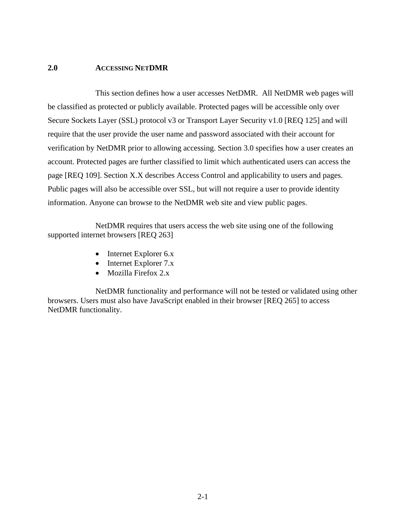#### **2.0 ACCESSING NETDMR**

 This section defines how a user accesses NetDMR. All NetDMR web pages will be classified as protected or publicly available. Protected pages will be accessible only over Secure Sockets Layer (SSL) protocol v3 or Transport Layer Security v1.0 [REQ 125] and will require that the user provide the user name and password associated with their account for verification by NetDMR prior to allowing accessing. Section 3.0 specifies how a user creates an account. Protected pages are further classified to limit which authenticated users can access the page [REQ 109]. Section X.X describes Access Control and applicability to users and pages. Public pages will also be accessible over SSL, but will not require a user to provide identity information. Anyone can browse to the NetDMR web site and view public pages.

 NetDMR requires that users access the web site using one of the following supported internet browsers [REQ 263]

- Internet Explorer 6.x
- Internet Explorer 7.x
- Mozilla Firefox 2.x

 NetDMR functionality and performance will not be tested or validated using other browsers. Users must also have JavaScript enabled in their browser [REQ 265] to access NetDMR functionality.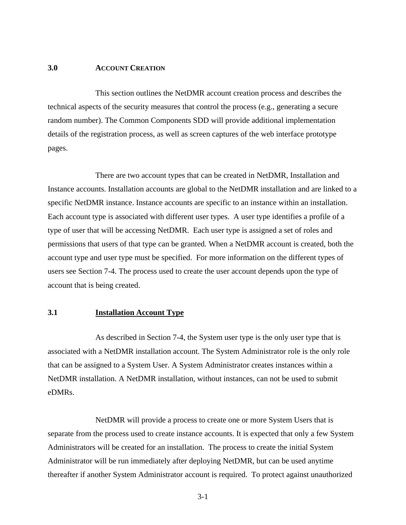#### **3.0 ACCOUNT CREATION**

 This section outlines the NetDMR account creation process and describes the technical aspects of the security measures that control the process (e.g., generating a secure random number). The Common Components SDD will provide additional implementation details of the registration process, as well as screen captures of the web interface prototype pages.

 There are two account types that can be created in NetDMR, Installation and Instance accounts. Installation accounts are global to the NetDMR installation and are linked to a specific NetDMR instance. Instance accounts are specific to an instance within an installation. Each account type is associated with different user types. A user type identifies a profile of a type of user that will be accessing NetDMR. Each user type is assigned a set of roles and permissions that users of that type can be granted. When a NetDMR account is created, both the account type and user type must be specified. For more information on the different types of users see Section 7-4. The process used to create the user account depends upon the type of account that is being created.

#### **3.1 Installation Account Type**

 As described in Section 7-4, the System user type is the only user type that is associated with a NetDMR installation account. The System Administrator role is the only role that can be assigned to a System User. A System Administrator creates instances within a NetDMR installation. A NetDMR installation, without instances, can not be used to submit eDMRs.

 NetDMR will provide a process to create one or more System Users that is separate from the process used to create instance accounts. It is expected that only a few System Administrators will be created for an installation. The process to create the initial System Administrator will be run immediately after deploying NetDMR, but can be used anytime thereafter if another System Administrator account is required. To protect against unauthorized

3-1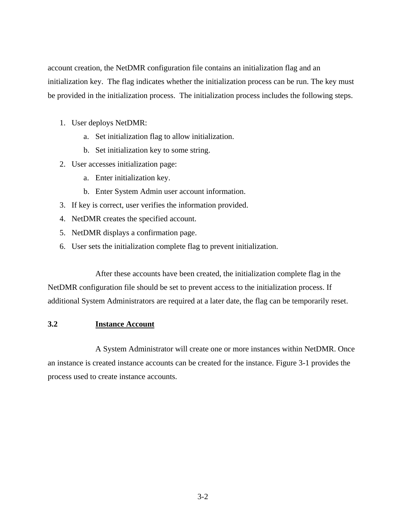account creation, the NetDMR configuration file contains an initialization flag and an initialization key. The flag indicates whether the initialization process can be run. The key must be provided in the initialization process. The initialization process includes the following steps.

- 1. User deploys NetDMR:
	- a. Set initialization flag to allow initialization.
	- b. Set initialization key to some string.
- 2. User accesses initialization page:
	- a. Enter initialization key.
	- b. Enter System Admin user account information.
- 3. If key is correct, user verifies the information provided.
- 4. NetDMR creates the specified account.
- 5. NetDMR displays a confirmation page.
- 6. User sets the initialization complete flag to prevent initialization.

 After these accounts have been created, the initialization complete flag in the NetDMR configuration file should be set to prevent access to the initialization process. If additional System Administrators are required at a later date, the flag can be temporarily reset.

#### **3.2 Instance Account**

 A System Administrator will create one or more instances within NetDMR. Once an instance is created instance accounts can be created for the instance. Figure 3-1 provides the process used to create instance accounts.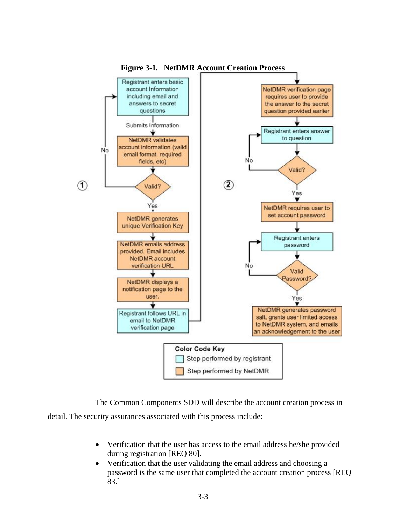

**Figure 3-1. NetDMR Account Creation Process** 

 The Common Components SDD will describe the account creation process in detail. The security assurances associated with this process include:

- Verification that the user has access to the email address he/she provided during registration [REQ 80].
- Verification that the user validating the email address and choosing a password is the same user that completed the account creation process [REQ 83.]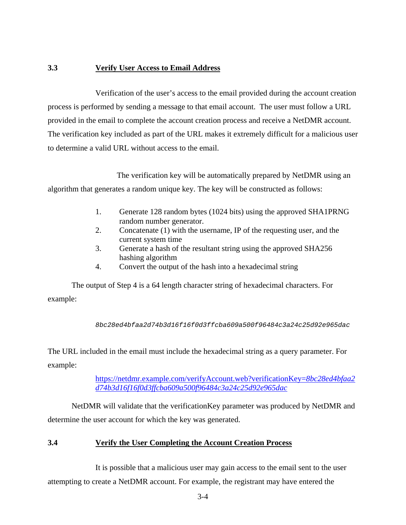#### **3.3 Verify User Access to Email Address**

 Verification of the user's access to the email provided during the account creation process is performed by sending a message to that email account. The user must follow a URL provided in the email to complete the account creation process and receive a NetDMR account. The verification key included as part of the URL makes it extremely difficult for a malicious user to determine a valid URL without access to the email.

 The verification key will be automatically prepared by NetDMR using an algorithm that generates a random unique key. The key will be constructed as follows:

- 1. Generate 128 random bytes (1024 bits) using the approved SHA1PRNG random number generator.
- 2. Concatenate (1) with the username, IP of the requesting user, and the current system time
- 3. Generate a hash of the resultant string using the approved SHA256 hashing algorithm
- 4. Convert the output of the hash into a hexadecimal string

The output of Step 4 is a 64 length character string of hexadecimal characters. For example:

*8bc28ed4bfaa2d74b3d16f16f0d3ffcba609a500f96484c3a24c25d92e965dac*

The URL included in the email must include the hexadecimal string as a query parameter. For example:

> https://netdmr.example.com/verifyAccount.web?verificationKey=*8bc28ed4bfaa2 d74b3d16f16f0d3ffcba609a500f96484c3a24c25d92e965dac*

NetDMR will validate that the verificationKey parameter was produced by NetDMR and determine the user account for which the key was generated.

#### **3.4 Verify the User Completing the Account Creation Process**

 It is possible that a malicious user may gain access to the email sent to the user attempting to create a NetDMR account. For example, the registrant may have entered the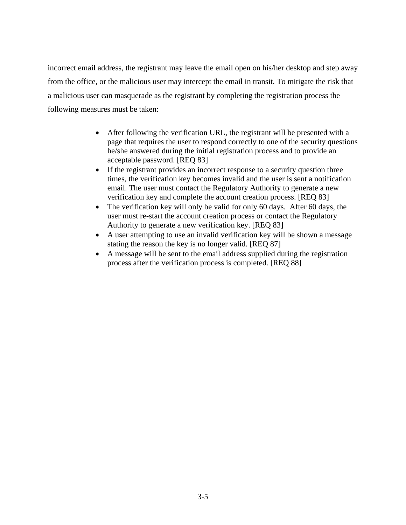incorrect email address, the registrant may leave the email open on his/her desktop and step away from the office, or the malicious user may intercept the email in transit. To mitigate the risk that a malicious user can masquerade as the registrant by completing the registration process the following measures must be taken:

- After following the verification URL, the registrant will be presented with a page that requires the user to respond correctly to one of the security questions he/she answered during the initial registration process and to provide an acceptable password. [REQ 83]
- If the registrant provides an incorrect response to a security question three times, the verification key becomes invalid and the user is sent a notification email. The user must contact the Regulatory Authority to generate a new verification key and complete the account creation process. [REQ 83]
- The verification key will only be valid for only 60 days. After 60 days, the user must re-start the account creation process or contact the Regulatory Authority to generate a new verification key. [REQ 83]
- A user attempting to use an invalid verification key will be shown a message stating the reason the key is no longer valid. [REQ 87]
- A message will be sent to the email address supplied during the registration process after the verification process is completed. [REQ 88]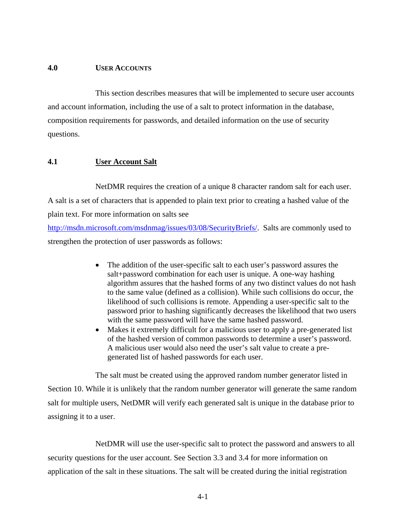#### **4.0 USER ACCOUNTS**

 This section describes measures that will be implemented to secure user accounts and account information, including the use of a salt to protect information in the database, composition requirements for passwords, and detailed information on the use of security questions.

#### **4.1 User Account Salt**

 NetDMR requires the creation of a unique 8 character random salt for each user. A salt is a set of characters that is appended to plain text prior to creating a hashed value of the plain text. For more information on salts see

http://msdn.microsoft.com/msdnmag/issues/03/08/SecurityBriefs/. Salts are commonly used to strengthen the protection of user passwords as follows:

- The addition of the user-specific salt to each user's password assures the salt+password combination for each user is unique. A one-way hashing algorithm assures that the hashed forms of any two distinct values do not hash to the same value (defined as a collision). While such collisions do occur, the likelihood of such collisions is remote. Appending a user-specific salt to the password prior to hashing significantly decreases the likelihood that two users with the same password will have the same hashed password.
- Makes it extremely difficult for a malicious user to apply a pre-generated list of the hashed version of common passwords to determine a user's password. A malicious user would also need the user's salt value to create a pregenerated list of hashed passwords for each user.

The salt must be created using the approved random number generator listed in

Section 10. While it is unlikely that the random number generator will generate the same random salt for multiple users, NetDMR will verify each generated salt is unique in the database prior to assigning it to a user.

 NetDMR will use the user-specific salt to protect the password and answers to all security questions for the user account. See Section 3.3 and 3.4 for more information on application of the salt in these situations. The salt will be created during the initial registration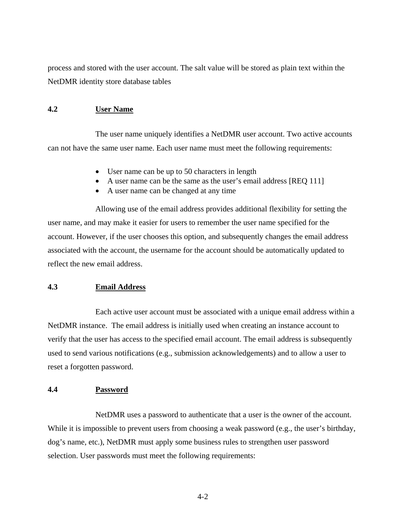process and stored with the user account. The salt value will be stored as plain text within the NetDMR identity store database tables

#### **4.2 User Name**

 The user name uniquely identifies a NetDMR user account. Two active accounts can not have the same user name. Each user name must meet the following requirements:

- User name can be up to 50 characters in length
- A user name can be the same as the user's email address [REQ 111]
- A user name can be changed at any time

 Allowing use of the email address provides additional flexibility for setting the user name, and may make it easier for users to remember the user name specified for the account. However, if the user chooses this option, and subsequently changes the email address associated with the account, the username for the account should be automatically updated to reflect the new email address.

#### **4.3 Email Address**

 Each active user account must be associated with a unique email address within a NetDMR instance. The email address is initially used when creating an instance account to verify that the user has access to the specified email account. The email address is subsequently used to send various notifications (e.g., submission acknowledgements) and to allow a user to reset a forgotten password.

#### **4.4 Password**

 NetDMR uses a password to authenticate that a user is the owner of the account. While it is impossible to prevent users from choosing a weak password (e.g., the user's birthday, dog's name, etc.), NetDMR must apply some business rules to strengthen user password selection. User passwords must meet the following requirements:

4-2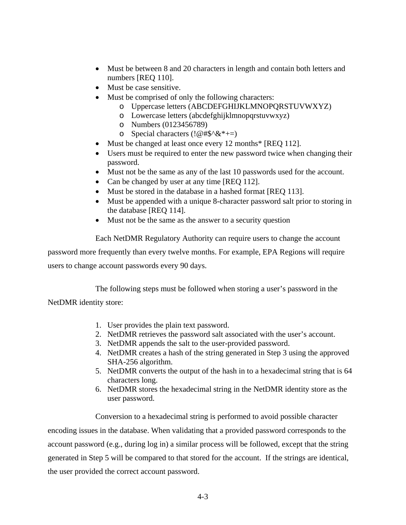- Must be between 8 and 20 characters in length and contain both letters and numbers [REQ 110].
- Must be case sensitive.
	- Must be comprised of only the following characters:
		- o Uppercase letters (ABCDEFGHIJKLMNOPQRSTUVWXYZ)
		- o Lowercase letters (abcdefghijklmnopqrstuvwxyz)
		- o Numbers (0123456789)
		- o Special characters  $(!\,\varnothing\,\#\$^{\wedge}\&^{\ast}\,+=\,)$
- Must be changed at least once every 12 months\* [REQ 112].
- Users must be required to enter the new password twice when changing their password.
- Must not be the same as any of the last 10 passwords used for the account.
- Can be changed by user at any time [REQ 112].
- Must be stored in the database in a hashed format [REQ 113].
- Must be appended with a unique 8-character password salt prior to storing in the database [REQ 114].
- Must not be the same as the answer to a security question

Each NetDMR Regulatory Authority can require users to change the account

password more frequently than every twelve months. For example, EPA Regions will require users to change account passwords every 90 days.

The following steps must be followed when storing a user's password in the

NetDMR identity store:

- 1. User provides the plain text password.
- 2. NetDMR retrieves the password salt associated with the user's account.
- 3. NetDMR appends the salt to the user-provided password.
- 4. NetDMR creates a hash of the string generated in Step 3 using the approved SHA-256 algorithm.
- 5. NetDMR converts the output of the hash in to a hexadecimal string that is 64 characters long.
- 6. NetDMR stores the hexadecimal string in the NetDMR identity store as the user password.

 Conversion to a hexadecimal string is performed to avoid possible character encoding issues in the database. When validating that a provided password corresponds to the account password (e.g., during log in) a similar process will be followed, except that the string generated in Step 5 will be compared to that stored for the account. If the strings are identical, the user provided the correct account password.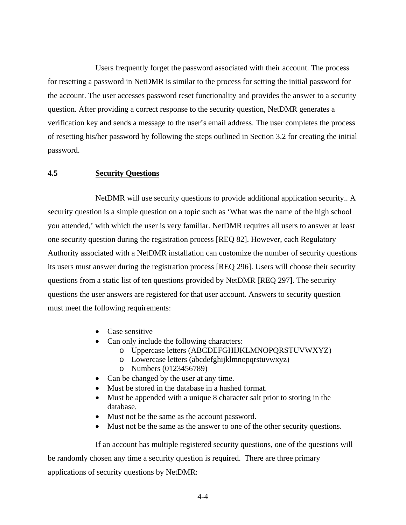Users frequently forget the password associated with their account. The process for resetting a password in NetDMR is similar to the process for setting the initial password for the account. The user accesses password reset functionality and provides the answer to a security question. After providing a correct response to the security question, NetDMR generates a verification key and sends a message to the user's email address. The user completes the process of resetting his/her password by following the steps outlined in Section 3.2 for creating the initial password.

#### **4.5 Security Questions**

 NetDMR will use security questions to provide additional application security.. A security question is a simple question on a topic such as 'What was the name of the high school you attended,' with which the user is very familiar. NetDMR requires all users to answer at least one security question during the registration process [REQ 82]. However, each Regulatory Authority associated with a NetDMR installation can customize the number of security questions its users must answer during the registration process [REQ 296]. Users will choose their security questions from a static list of ten questions provided by NetDMR [REQ 297]. The security questions the user answers are registered for that user account. Answers to security question must meet the following requirements:

- Case sensitive
- Can only include the following characters:
	- o Uppercase letters (ABCDEFGHIJKLMNOPQRSTUVWXYZ)
	- o Lowercase letters (abcdefghijklmnopqrstuvwxyz)
	- o Numbers (0123456789)
- Can be changed by the user at any time.
- Must be stored in the database in a hashed format.
- Must be appended with a unique 8 character salt prior to storing in the database.
- Must not be the same as the account password.
- Must not be the same as the answer to one of the other security questions.

 If an account has multiple registered security questions, one of the questions will be randomly chosen any time a security question is required. There are three primary applications of security questions by NetDMR: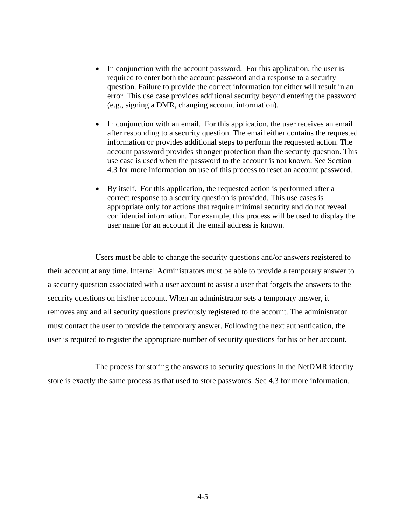- In conjunction with the account password. For this application, the user is required to enter both the account password and a response to a security question. Failure to provide the correct information for either will result in an error. This use case provides additional security beyond entering the password (e.g., signing a DMR, changing account information).
- In conjunction with an email. For this application, the user receives an email after responding to a security question. The email either contains the requested information or provides additional steps to perform the requested action. The account password provides stronger protection than the security question. This use case is used when the password to the account is not known. See Section 4.3 for more information on use of this process to reset an account password.
- By itself. For this application, the requested action is performed after a correct response to a security question is provided. This use cases is appropriate only for actions that require minimal security and do not reveal confidential information. For example, this process will be used to display the user name for an account if the email address is known.

 Users must be able to change the security questions and/or answers registered to their account at any time. Internal Administrators must be able to provide a temporary answer to a security question associated with a user account to assist a user that forgets the answers to the security questions on his/her account. When an administrator sets a temporary answer, it removes any and all security questions previously registered to the account. The administrator must contact the user to provide the temporary answer. Following the next authentication, the user is required to register the appropriate number of security questions for his or her account.

 The process for storing the answers to security questions in the NetDMR identity store is exactly the same process as that used to store passwords. See 4.3 for more information.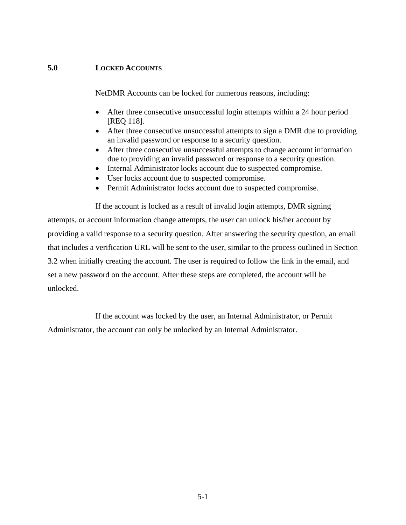#### **5.0 LOCKED ACCOUNTS**

NetDMR Accounts can be locked for numerous reasons, including:

- After three consecutive unsuccessful login attempts within a 24 hour period [REQ 118].
- After three consecutive unsuccessful attempts to sign a DMR due to providing an invalid password or response to a security question.
- After three consecutive unsuccessful attempts to change account information due to providing an invalid password or response to a security question.
- Internal Administrator locks account due to suspected compromise.
- User locks account due to suspected compromise.
- Permit Administrator locks account due to suspected compromise.

 If the account is locked as a result of invalid login attempts, DMR signing attempts, or account information change attempts, the user can unlock his/her account by providing a valid response to a security question. After answering the security question, an email that includes a verification URL will be sent to the user, similar to the process outlined in Section 3.2 when initially creating the account. The user is required to follow the link in the email, and set a new password on the account. After these steps are completed, the account will be unlocked.

 If the account was locked by the user, an Internal Administrator, or Permit Administrator, the account can only be unlocked by an Internal Administrator.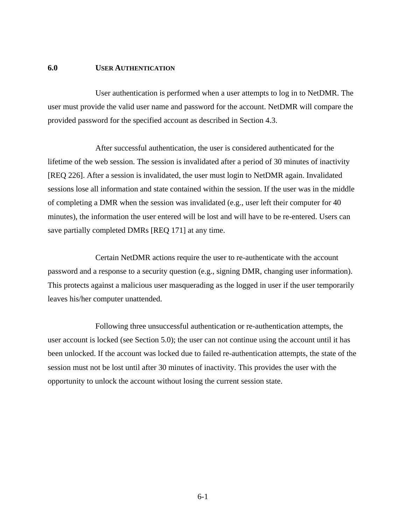#### **6.0 USER AUTHENTICATION**

 User authentication is performed when a user attempts to log in to NetDMR. The user must provide the valid user name and password for the account. NetDMR will compare the provided password for the specified account as described in Section 4.3.

 After successful authentication, the user is considered authenticated for the lifetime of the web session. The session is invalidated after a period of 30 minutes of inactivity [REQ 226]. After a session is invalidated, the user must login to NetDMR again. Invalidated sessions lose all information and state contained within the session. If the user was in the middle of completing a DMR when the session was invalidated (e.g., user left their computer for 40 minutes), the information the user entered will be lost and will have to be re-entered. Users can save partially completed DMRs [REQ 171] at any time.

 Certain NetDMR actions require the user to re-authenticate with the account password and a response to a security question (e.g., signing DMR, changing user information). This protects against a malicious user masquerading as the logged in user if the user temporarily leaves his/her computer unattended.

 Following three unsuccessful authentication or re-authentication attempts, the user account is locked (see Section 5.0); the user can not continue using the account until it has been unlocked. If the account was locked due to failed re-authentication attempts, the state of the session must not be lost until after 30 minutes of inactivity. This provides the user with the opportunity to unlock the account without losing the current session state.

6-1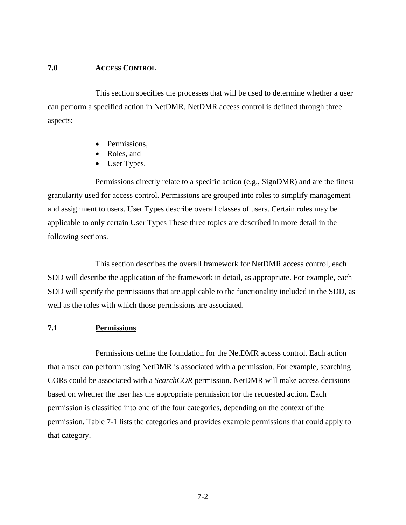#### **7.0 ACCESS CONTROL**

 This section specifies the processes that will be used to determine whether a user can perform a specified action in NetDMR. NetDMR access control is defined through three aspects:

- Permissions,
- Roles, and
- User Types.

 Permissions directly relate to a specific action (e.g., SignDMR) and are the finest granularity used for access control. Permissions are grouped into roles to simplify management and assignment to users. User Types describe overall classes of users. Certain roles may be applicable to only certain User Types These three topics are described in more detail in the following sections.

 This section describes the overall framework for NetDMR access control, each SDD will describe the application of the framework in detail, as appropriate. For example, each SDD will specify the permissions that are applicable to the functionality included in the SDD, as well as the roles with which those permissions are associated.

#### **7.1 Permissions**

 Permissions define the foundation for the NetDMR access control. Each action that a user can perform using NetDMR is associated with a permission. For example, searching CORs could be associated with a *SearchCOR* permission. NetDMR will make access decisions based on whether the user has the appropriate permission for the requested action. Each permission is classified into one of the four categories, depending on the context of the permission. Table 7-1 lists the categories and provides example permissions that could apply to that category.

7-2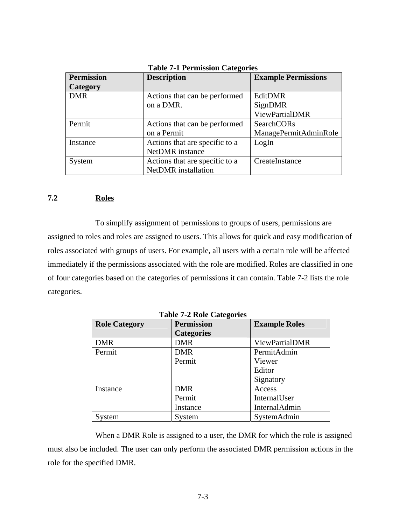| <b>Permission</b> | <b>Description</b>             | <b>Example Permissions</b> |
|-------------------|--------------------------------|----------------------------|
| Category          |                                |                            |
| <b>DMR</b>        | Actions that can be performed  | EditDMR                    |
|                   | on a DMR.                      | SignDMR                    |
|                   |                                | ViewPartialDMR             |
| Permit            | Actions that can be performed  | SearchCORs                 |
|                   | on a Permit                    | ManagePermitAdminRole      |
| Instance          | Actions that are specific to a | LogIn                      |
|                   | <b>NetDMR</b> instance         |                            |
| System            | Actions that are specific to a | CreateInstance             |
|                   | <b>NetDMR</b> installation     |                            |

**Table 7-1 Permission Categories** 

#### **7.2 Roles**

 To simplify assignment of permissions to groups of users, permissions are assigned to roles and roles are assigned to users. This allows for quick and easy modification of roles associated with groups of users. For example, all users with a certain role will be affected immediately if the permissions associated with the role are modified. Roles are classified in one of four categories based on the categories of permissions it can contain. Table 7-2 lists the role categories.

| <b>LADIC 1-4 INDIC CALCEDITES</b>                                 |                   |                       |  |
|-------------------------------------------------------------------|-------------------|-----------------------|--|
| <b>Permission</b><br><b>Example Roles</b><br><b>Role Category</b> |                   |                       |  |
|                                                                   | <b>Categories</b> |                       |  |
| <b>DMR</b>                                                        | <b>DMR</b>        | <b>ViewPartialDMR</b> |  |
| Permit                                                            | <b>DMR</b>        | PermitAdmin           |  |
|                                                                   | Permit            | Viewer                |  |
|                                                                   |                   | Editor                |  |
|                                                                   |                   | Signatory             |  |
| Instance                                                          | <b>DMR</b>        | Access                |  |
|                                                                   | Permit            | InternalUser          |  |
|                                                                   | Instance          | <b>InternalAdmin</b>  |  |
| System                                                            | System            | SystemAdmin           |  |

**Table 7-2 Role Categories** 

 When a DMR Role is assigned to a user, the DMR for which the role is assigned must also be included. The user can only perform the associated DMR permission actions in the role for the specified DMR.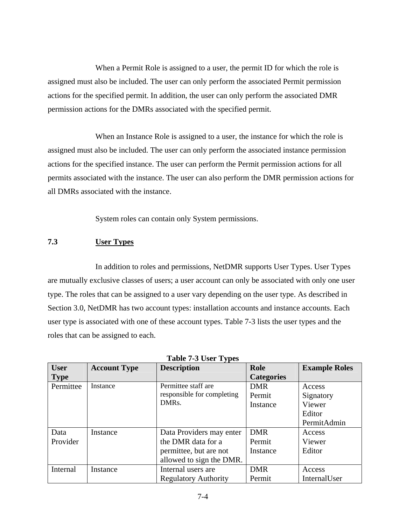When a Permit Role is assigned to a user, the permit ID for which the role is assigned must also be included. The user can only perform the associated Permit permission actions for the specified permit. In addition, the user can only perform the associated DMR permission actions for the DMRs associated with the specified permit.

 When an Instance Role is assigned to a user, the instance for which the role is assigned must also be included. The user can only perform the associated instance permission actions for the specified instance. The user can perform the Permit permission actions for all permits associated with the instance. The user can also perform the DMR permission actions for all DMRs associated with the instance.

System roles can contain only System permissions.

#### **7.3 User Types**

 In addition to roles and permissions, NetDMR supports User Types. User Types are mutually exclusive classes of users; a user account can only be associated with only one user type. The roles that can be assigned to a user vary depending on the user type. As described in Section 3.0, NetDMR has two account types: installation accounts and instance accounts. Each user type is associated with one of these account types. Table 7-3 lists the user types and the roles that can be assigned to each.

| <b>User</b> | <b>Account Type</b> | <b>Description</b>          | Role              | <b>Example Roles</b> |
|-------------|---------------------|-----------------------------|-------------------|----------------------|
| <b>Type</b> |                     |                             | <b>Categories</b> |                      |
| Permittee   | Instance            | Permittee staff are.        | <b>DMR</b>        | Access               |
|             |                     | responsible for completing  | Permit            | Signatory            |
|             |                     | DMR <sub>s</sub> .          | Instance          | Viewer               |
|             |                     |                             |                   | Editor               |
|             |                     |                             |                   | PermitAdmin          |
| Data        | Instance            | Data Providers may enter    | <b>DMR</b>        | Access               |
| Provider    |                     | the DMR data for a          | Permit            | Viewer               |
|             |                     | permittee, but are not      | Instance          | Editor               |
|             |                     | allowed to sign the DMR.    |                   |                      |
| Internal    | Instance            | Internal users are          | <b>DMR</b>        | Access               |
|             |                     | <b>Regulatory Authority</b> | Permit            | InternalUser         |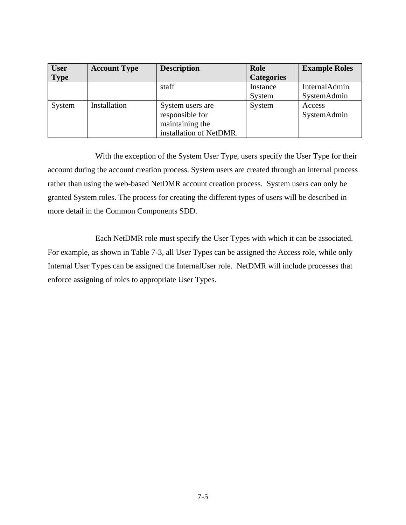| <b>User</b> | <b>Account Type</b> | <b>Description</b>      | Role              | <b>Example Roles</b> |
|-------------|---------------------|-------------------------|-------------------|----------------------|
| <b>Type</b> |                     |                         | <b>Categories</b> |                      |
|             |                     | staff                   | Instance          | <b>InternalAdmin</b> |
|             |                     |                         | System            | SystemAdmin          |
| System      | Installation        | System users are        | System            | Access               |
|             |                     | responsible for         |                   | SystemAdmin          |
|             |                     | maintaining the         |                   |                      |
|             |                     | installation of NetDMR. |                   |                      |

 With the exception of the System User Type, users specify the User Type for their account during the account creation process. System users are created through an internal process rather than using the web-based NetDMR account creation process. System users can only be granted System roles. The process for creating the different types of users will be described in more detail in the Common Components SDD.

 Each NetDMR role must specify the User Types with which it can be associated. For example, as shown in Table 7-3, all User Types can be assigned the Access role, while only Internal User Types can be assigned the InternalUser role. NetDMR will include processes that enforce assigning of roles to appropriate User Types.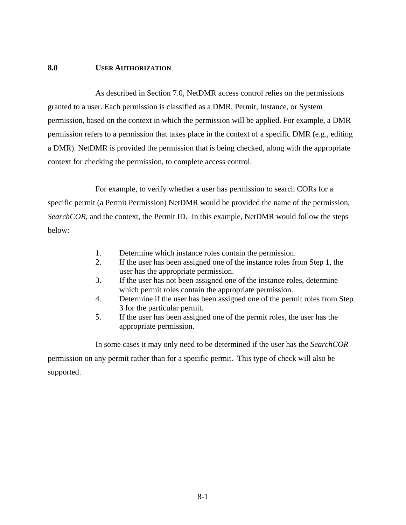#### **8.0 USER AUTHORIZATION**

 As described in Section 7.0, NetDMR access control relies on the permissions granted to a user. Each permission is classified as a DMR, Permit, Instance, or System permission, based on the context in which the permission will be applied. For example, a DMR permission refers to a permission that takes place in the context of a specific DMR (e.g., editing a DMR). NetDMR is provided the permission that is being checked, along with the appropriate context for checking the permission, to complete access control.

 For example, to verify whether a user has permission to search CORs for a specific permit (a Permit Permission) NetDMR would be provided the name of the permission, *SearchCOR*, and the context, the Permit ID. In this example, NetDMR would follow the steps below:

- 1. Determine which instance roles contain the permission.
- 2. If the user has been assigned one of the instance roles from Step 1, the user has the appropriate permission.
- 3. If the user has not been assigned one of the instance roles, determine which permit roles contain the appropriate permission.
- 4. Determine if the user has been assigned one of the permit roles from Step 3 for the particular permit.
- 5. If the user has been assigned one of the permit roles, the user has the appropriate permission.

 In some cases it may only need to be determined if the user has the *SearchCOR* permission on any permit rather than for a specific permit. This type of check will also be supported.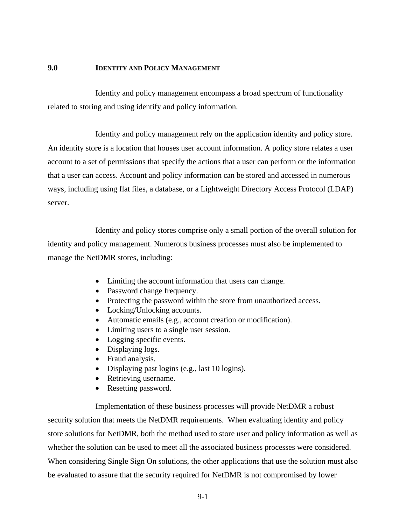#### **9.0 IDENTITY AND POLICY MANAGEMENT**

 Identity and policy management encompass a broad spectrum of functionality related to storing and using identify and policy information.

 Identity and policy management rely on the application identity and policy store. An identity store is a location that houses user account information. A policy store relates a user account to a set of permissions that specify the actions that a user can perform or the information that a user can access. Account and policy information can be stored and accessed in numerous ways, including using flat files, a database, or a Lightweight Directory Access Protocol (LDAP) server.

 Identity and policy stores comprise only a small portion of the overall solution for identity and policy management. Numerous business processes must also be implemented to manage the NetDMR stores, including:

- Limiting the account information that users can change.
- Password change frequency.
- Protecting the password within the store from unauthorized access.
- Locking/Unlocking accounts.
- Automatic emails (e.g., account creation or modification).
- Limiting users to a single user session.
- Logging specific events.
- Displaying logs.
- Fraud analysis.
- Displaying past logins (e.g., last 10 logins).
- Retrieving username.
- Resetting password.

 Implementation of these business processes will provide NetDMR a robust security solution that meets the NetDMR requirements. When evaluating identity and policy store solutions for NetDMR, both the method used to store user and policy information as well as whether the solution can be used to meet all the associated business processes were considered. When considering Single Sign On solutions, the other applications that use the solution must also be evaluated to assure that the security required for NetDMR is not compromised by lower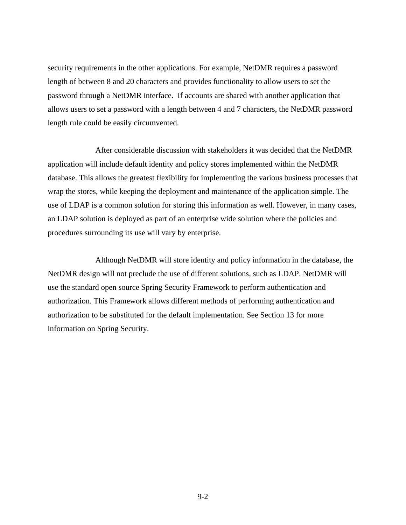security requirements in the other applications. For example, NetDMR requires a password length of between 8 and 20 characters and provides functionality to allow users to set the password through a NetDMR interface. If accounts are shared with another application that allows users to set a password with a length between 4 and 7 characters, the NetDMR password length rule could be easily circumvented.

 After considerable discussion with stakeholders it was decided that the NetDMR application will include default identity and policy stores implemented within the NetDMR database. This allows the greatest flexibility for implementing the various business processes that wrap the stores, while keeping the deployment and maintenance of the application simple. The use of LDAP is a common solution for storing this information as well. However, in many cases, an LDAP solution is deployed as part of an enterprise wide solution where the policies and procedures surrounding its use will vary by enterprise.

 Although NetDMR will store identity and policy information in the database, the NetDMR design will not preclude the use of different solutions, such as LDAP. NetDMR will use the standard open source Spring Security Framework to perform authentication and authorization. This Framework allows different methods of performing authentication and authorization to be substituted for the default implementation. See Section 13 for more information on Spring Security.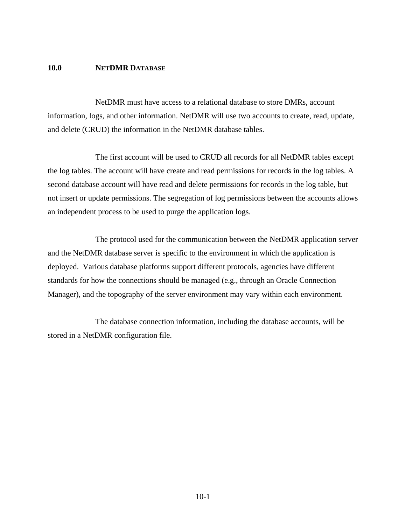#### **10.0 NETDMR DATABASE**

 NetDMR must have access to a relational database to store DMRs, account information, logs, and other information. NetDMR will use two accounts to create, read, update, and delete (CRUD) the information in the NetDMR database tables.

 The first account will be used to CRUD all records for all NetDMR tables except the log tables. The account will have create and read permissions for records in the log tables. A second database account will have read and delete permissions for records in the log table, but not insert or update permissions. The segregation of log permissions between the accounts allows an independent process to be used to purge the application logs.

 The protocol used for the communication between the NetDMR application server and the NetDMR database server is specific to the environment in which the application is deployed. Various database platforms support different protocols, agencies have different standards for how the connections should be managed (e.g., through an Oracle Connection Manager), and the topography of the server environment may vary within each environment.

 The database connection information, including the database accounts, will be stored in a NetDMR configuration file.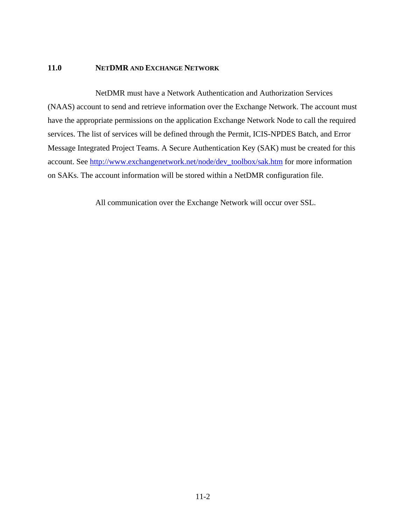#### **11.0 NETDMR AND EXCHANGE NETWORK**

 NetDMR must have a Network Authentication and Authorization Services (NAAS) account to send and retrieve information over the Exchange Network. The account must have the appropriate permissions on the application Exchange Network Node to call the required services. The list of services will be defined through the Permit, ICIS-NPDES Batch, and Error Message Integrated Project Teams. A Secure Authentication Key (SAK) must be created for this account. See http://www.exchangenetwork.net/node/dev\_toolbox/sak.htm for more information on SAKs. The account information will be stored within a NetDMR configuration file.

All communication over the Exchange Network will occur over SSL.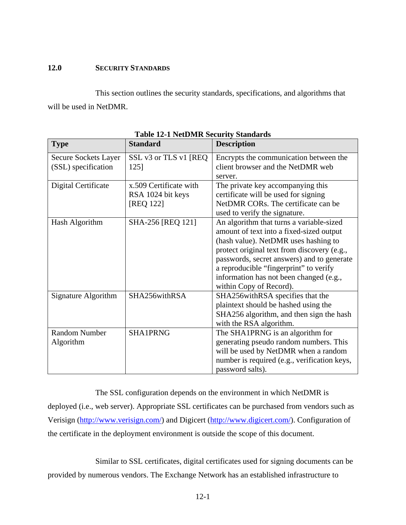#### **12.0 SECURITY STANDARDS**

 This section outlines the security standards, specifications, and algorithms that will be used in NetDMR.

| <b>Type</b>          | <b>Standard</b>        | The contract because beaman as<br><b>Description</b> |
|----------------------|------------------------|------------------------------------------------------|
| Secure Sockets Layer | SSL v3 or TLS v1 [REQ] | Encrypts the communication between the               |
| (SSL) specification  | 125]                   | client browser and the NetDMR web                    |
|                      |                        | server.                                              |
| Digital Certificate  | x.509 Certificate with | The private key accompanying this                    |
|                      | RSA 1024 bit keys      | certificate will be used for signing                 |
|                      | [REQ 122]              | NetDMR CORs. The certificate can be                  |
|                      |                        | used to verify the signature.                        |
| Hash Algorithm       | SHA-256 [REQ 121]      | An algorithm that turns a variable-sized             |
|                      |                        | amount of text into a fixed-sized output             |
|                      |                        | (hash value). NetDMR uses hashing to                 |
|                      |                        | protect original text from discovery (e.g.,          |
|                      |                        | passwords, secret answers) and to generate           |
|                      |                        | a reproducible "fingerprint" to verify               |
|                      |                        | information has not been changed (e.g.,              |
|                      |                        | within Copy of Record).                              |
| Signature Algorithm  | SHA256withRSA          | SHA256withRSA specifies that the                     |
|                      |                        | plaintext should be hashed using the                 |
|                      |                        | SHA256 algorithm, and then sign the hash             |
|                      |                        | with the RSA algorithm.                              |
| <b>Random Number</b> | <b>SHA1PRNG</b>        | The SHA1PRNG is an algorithm for                     |
| Algorithm            |                        | generating pseudo random numbers. This               |
|                      |                        | will be used by NetDMR when a random                 |
|                      |                        | number is required (e.g., verification keys,         |
|                      |                        | password salts).                                     |

**Table 12-1 NetDMR Security Standards** 

 The SSL configuration depends on the environment in which NetDMR is deployed (i.e., web server). Appropriate SSL certificates can be purchased from vendors such as Verisign (http://www.verisign.com/) and Digicert (http://www.digicert.com/). Configuration of the certificate in the deployment environment is outside the scope of this document.

 Similar to SSL certificates, digital certificates used for signing documents can be provided by numerous vendors. The Exchange Network has an established infrastructure to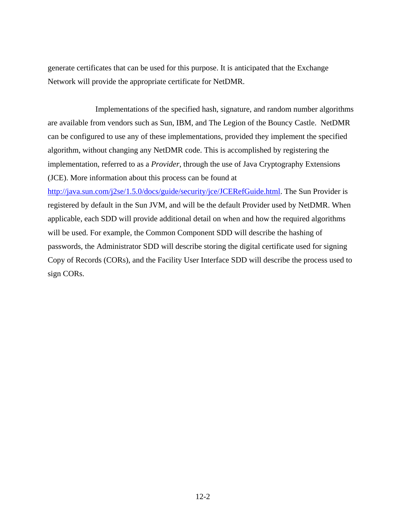generate certificates that can be used for this purpose. It is anticipated that the Exchange Network will provide the appropriate certificate for NetDMR.

 Implementations of the specified hash, signature, and random number algorithms are available from vendors such as Sun, IBM, and The Legion of the Bouncy Castle. NetDMR can be configured to use any of these implementations, provided they implement the specified algorithm, without changing any NetDMR code. This is accomplished by registering the implementation, referred to as a *Provider*, through the use of Java Cryptography Extensions (JCE). More information about this process can be found at

http://java.sun.com/j2se/1.5.0/docs/guide/security/jce/JCERefGuide.html. The Sun Provider is registered by default in the Sun JVM, and will be the default Provider used by NetDMR. When applicable, each SDD will provide additional detail on when and how the required algorithms will be used. For example, the Common Component SDD will describe the hashing of passwords, the Administrator SDD will describe storing the digital certificate used for signing Copy of Records (CORs), and the Facility User Interface SDD will describe the process used to sign CORs.